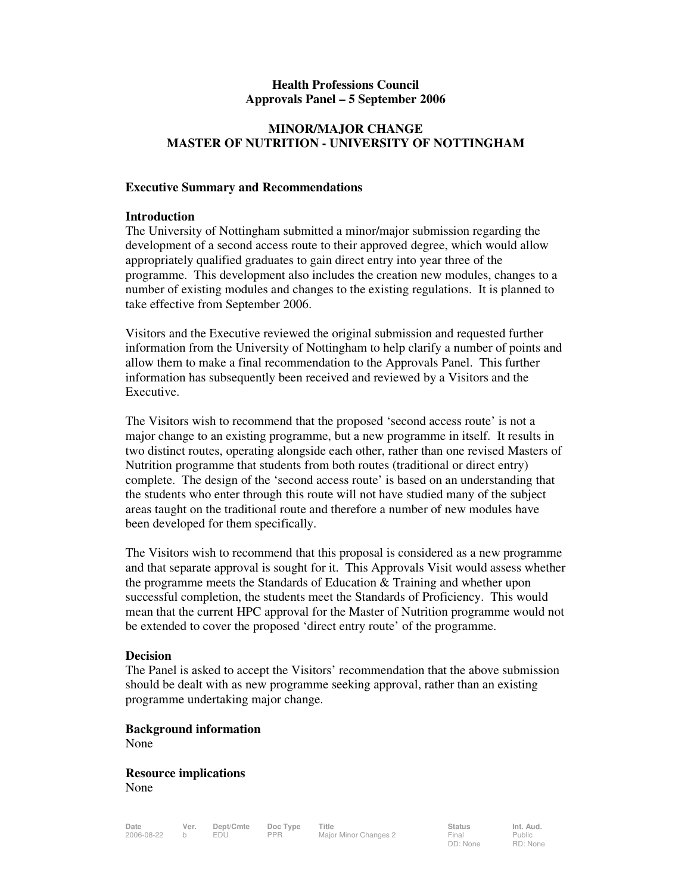## **Health Professions Council Approvals Panel – 5 September 2006**

## **MINOR/MAJOR CHANGE MASTER OF NUTRITION - UNIVERSITY OF NOTTINGHAM**

### **Executive Summary and Recommendations**

### **Introduction**

The University of Nottingham submitted a minor/major submission regarding the development of a second access route to their approved degree, which would allow appropriately qualified graduates to gain direct entry into year three of the programme. This development also includes the creation new modules, changes to a number of existing modules and changes to the existing regulations. It is planned to take effective from September 2006.

Visitors and the Executive reviewed the original submission and requested further information from the University of Nottingham to help clarify a number of points and allow them to make a final recommendation to the Approvals Panel. This further information has subsequently been received and reviewed by a Visitors and the Executive.

The Visitors wish to recommend that the proposed 'second access route' is not a major change to an existing programme, but a new programme in itself. It results in two distinct routes, operating alongside each other, rather than one revised Masters of Nutrition programme that students from both routes (traditional or direct entry) complete. The design of the 'second access route' is based on an understanding that the students who enter through this route will not have studied many of the subject areas taught on the traditional route and therefore a number of new modules have been developed for them specifically.

The Visitors wish to recommend that this proposal is considered as a new programme and that separate approval is sought for it. This Approvals Visit would assess whether the programme meets the Standards of Education & Training and whether upon successful completion, the students meet the Standards of Proficiency. This would mean that the current HPC approval for the Master of Nutrition programme would not be extended to cover the proposed 'direct entry route' of the programme.

#### **Decision**

The Panel is asked to accept the Visitors' recommendation that the above submission should be dealt with as new programme seeking approval, rather than an existing programme undertaking major change.

### **Background information**

None

**Resource implications**  None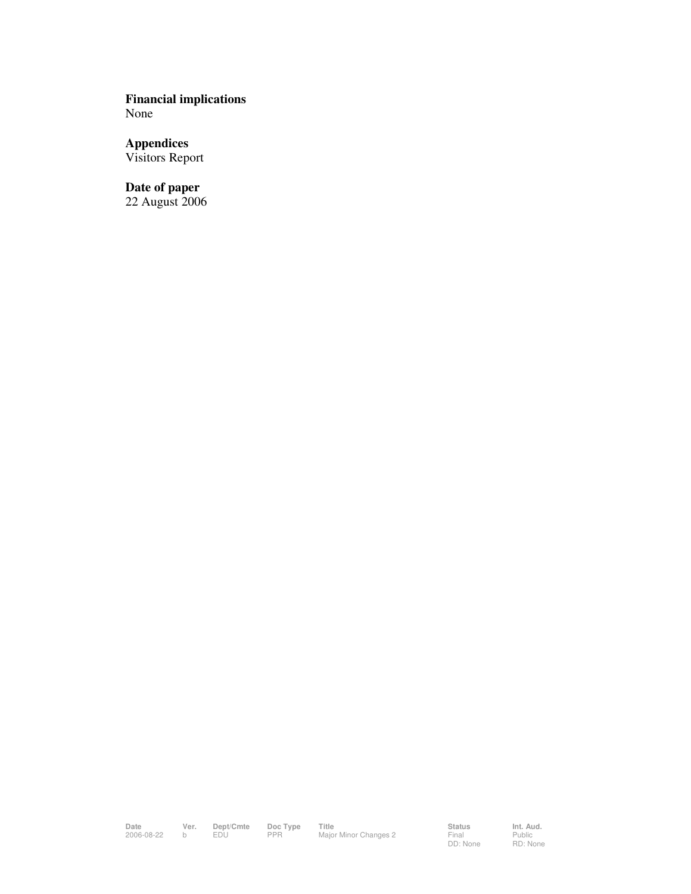**Financial implications**  None

**Appendices**  Visitors Report

**Date of paper**  22 August 2006

Date Ver. Dept/Cmte Doc Type Title<br>2006-08-22 b EDU PPR Major Minor Changes 2 Final Public

Status<br>Final<br>DD: None

Public RD: None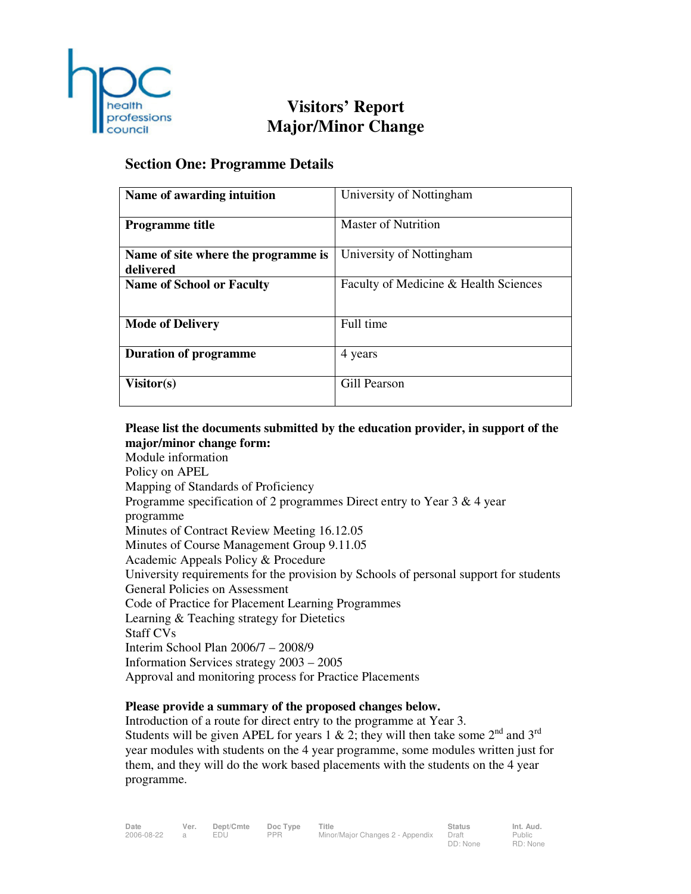

# **Visitors' Report Major/Minor Change**

# **Section One: Programme Details**

| Name of awarding intuition                       | University of Nottingham              |
|--------------------------------------------------|---------------------------------------|
| <b>Programme title</b>                           | <b>Master of Nutrition</b>            |
| Name of site where the programme is<br>delivered | University of Nottingham              |
| <b>Name of School or Faculty</b>                 | Faculty of Medicine & Health Sciences |
| <b>Mode of Delivery</b>                          | Full time                             |
| <b>Duration of programme</b>                     | 4 years                               |
| Visitor(s)                                       | Gill Pearson                          |

# **Please list the documents submitted by the education provider, in support of the major/minor change form:**

Module information Policy on APEL Mapping of Standards of Proficiency Programme specification of 2 programmes Direct entry to Year 3 & 4 year programme Minutes of Contract Review Meeting 16.12.05 Minutes of Course Management Group 9.11.05 Academic Appeals Policy & Procedure University requirements for the provision by Schools of personal support for students General Policies on Assessment Code of Practice for Placement Learning Programmes Learning & Teaching strategy for Dietetics Staff CVs Interim School Plan 2006/7 – 2008/9 Information Services strategy 2003 – 2005 Approval and monitoring process for Practice Placements

# **Please provide a summary of the proposed changes below.**

Introduction of a route for direct entry to the programme at Year 3. Students will be given APEL for years 1 & 2; they will then take some  $2<sup>nd</sup>$  and  $3<sup>rd</sup>$ year modules with students on the 4 year programme, some modules written just for them, and they will do the work based placements with the students on the 4 year programme.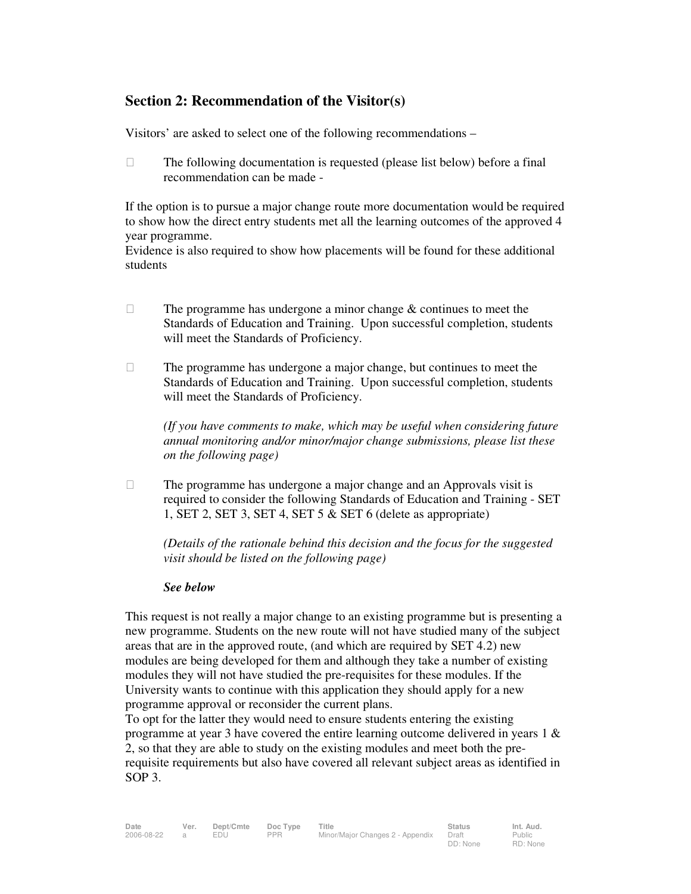# **Section 2: Recommendation of the Visitor(s)**

Visitors' are asked to select one of the following recommendations –

 $\Box$  The following documentation is requested (please list below) before a final recommendation can be made -

If the option is to pursue a major change route more documentation would be required to show how the direct entry students met all the learning outcomes of the approved 4 year programme.

Evidence is also required to show how placements will be found for these additional students

- $\Box$  The programme has undergone a minor change  $\&$  continues to meet the Standards of Education and Training. Upon successful completion, students will meet the Standards of Proficiency.
- $\Box$  The programme has undergone a major change, but continues to meet the Standards of Education and Training. Upon successful completion, students will meet the Standards of Proficiency.

*(If you have comments to make, which may be useful when considering future annual monitoring and/or minor/major change submissions, please list these on the following page)* 

 $\Box$  The programme has undergone a major change and an Approvals visit is required to consider the following Standards of Education and Training - SET 1, SET 2, SET 3, SET 4, SET 5 & SET 6 (delete as appropriate)

*(Details of the rationale behind this decision and the focus for the suggested visit should be listed on the following page)* 

## *See below*

This request is not really a major change to an existing programme but is presenting a new programme. Students on the new route will not have studied many of the subject areas that are in the approved route, (and which are required by SET 4.2) new modules are being developed for them and although they take a number of existing modules they will not have studied the pre-requisites for these modules. If the University wants to continue with this application they should apply for a new programme approval or reconsider the current plans.

To opt for the latter they would need to ensure students entering the existing programme at year 3 have covered the entire learning outcome delivered in years 1 & 2, so that they are able to study on the existing modules and meet both the prerequisite requirements but also have covered all relevant subject areas as identified in SOP 3.